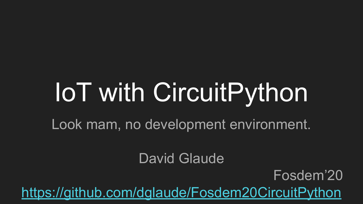# IoT with CircuitPython

Look mam, no development environment.

David Glaude

Fosdem'20

<https://github.com/dglaude/Fosdem20CircuitPython>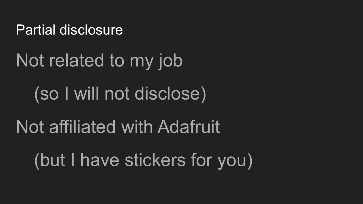#### Partial disclosure

# Not related to my job

# (so I will not disclose)

# Not affiliated with Adafruit

(but I have stickers for you)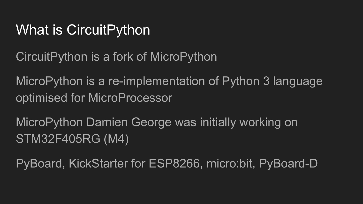#### What is CircuitPython

CircuitPython is a fork of MicroPython

MicroPython is a re-implementation of Python 3 language optimised for MicroProcessor

MicroPython Damien George was initially working on STM32F405RG (M4)

PyBoard, KickStarter for ESP8266, micro:bit, PyBoard-D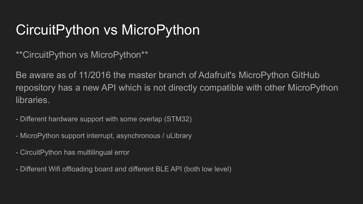#### CircuitPython vs MicroPython

\*\*CircuitPython vs MicroPython\*\*

Be aware as of 11/2016 the master branch of Adafruit's MicroPython GitHub repository has a new API which is not directly compatible with other MicroPython libraries.

- Different hardware support with some overlap (STM32)

- MicroPython support interrupt, asynchronous / uLibrary

- CircuitPython has multilingual error

- Different Wifi offloading board and different BLE API (both low level)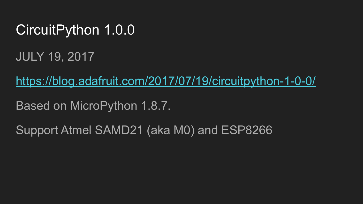#### CircuitPython 1.0.0

JULY 19, 2017

<https://blog.adafruit.com/2017/07/19/circuitpython-1-0-0/>

Based on MicroPython 1.8.7.

Support Atmel SAMD21 (aka M0) and ESP8266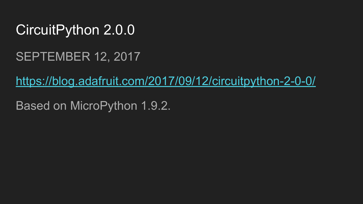#### CircuitPython 2.0.0

#### SEPTEMBER 12, 2017

<https://blog.adafruit.com/2017/09/12/circuitpython-2-0-0/>

Based on MicroPython 1.9.2.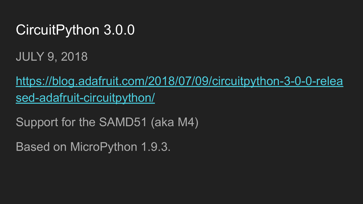#### CircuitPython 3.0.0

JULY 9, 2018

[https://blog.adafruit.com/2018/07/09/circuitpython-3-0-0-relea](https://blog.adafruit.com/2018/07/09/circuitpython-3-0-0-released-adafruit-circuitpython/) [sed-adafruit-circuitpython/](https://blog.adafruit.com/2018/07/09/circuitpython-3-0-0-released-adafruit-circuitpython/)

Support for the SAMD51 (aka M4)

Based on MicroPython 1.9.3.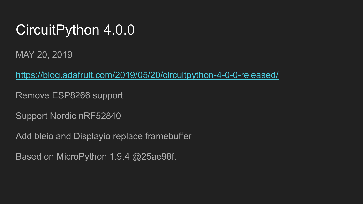#### CircuitPython 4.0.0

MAY 20, 2019

<https://blog.adafruit.com/2019/05/20/circuitpython-4-0-0-released/>

Remove ESP8266 support

Support Nordic nRF52840

Add bleio and Displayio replace framebuffer

Based on MicroPython 1.9.4 @25ae98f.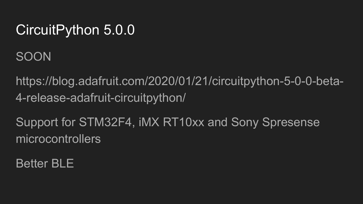#### CircuitPython 5.0.0

SOON

https://blog.adafruit.com/2020/01/21/circuitpython-5-0-0-beta-4-release-adafruit-circuitpython/

Support for STM32F4, iMX RT10xx and Sony Spresense microcontrollers

Better BLE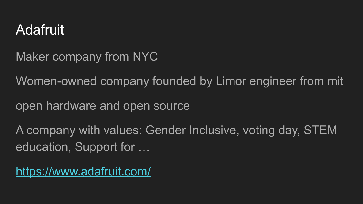#### Adafruit

Maker company from NYC

Women-owned company founded by Limor engineer from mit

open hardware and open source

A company with values: Gender Inclusive, voting day, STEM education, Support for …

<https://www.adafruit.com/>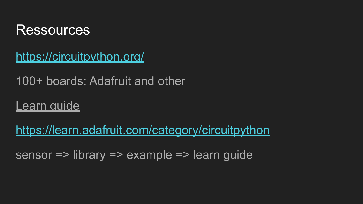

<https://circuitpython.org/>

100+ boards: Adafruit and other

**Learn guide** 

<https://learn.adafruit.com/category/circuitpython>

sensor => library => example => learn guide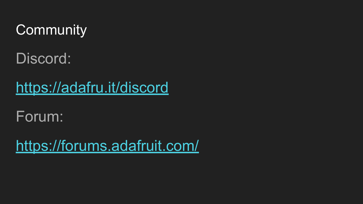#### **Community**

Discord:

<https://adafru.it/discord>

Forum:

<https://forums.adafruit.com/>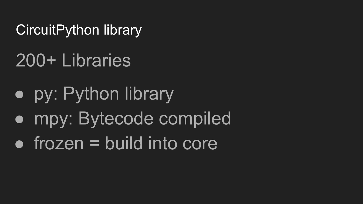CircuitPython library

# 200+ Libraries

- py: Python library
- mpy: Bytecode compiled
- $\bullet$  frozen = build into core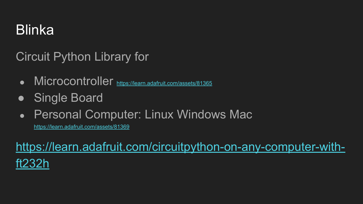#### Blinka

Circuit Python Library for

- Microcontroller <https://learn.adafruit.com/assets/81365>
- Single Board
- Personal Computer: Linux Windows Mac

<https://learn.adafruit.com/assets/81369>

[https://learn.adafruit.com/circuitpython-on-any-computer-with](https://learn.adafruit.com/circuitpython-on-any-computer-with-ft232h)[ft232h](https://learn.adafruit.com/circuitpython-on-any-computer-with-ft232h)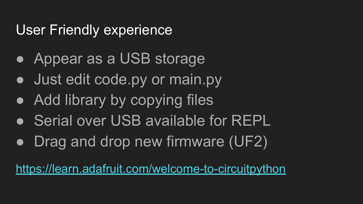#### User Friendly experience

- Appear as a USB storage
- Just edit code.py or main.py
- Add library by copying files
- Serial over USB available for REPL
- Drag and drop new firmware (UF2)

<https://learn.adafruit.com/welcome-to-circuitpython>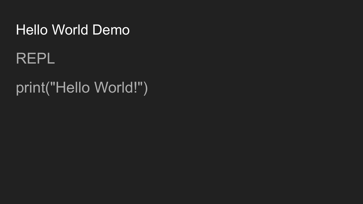#### Hello World Demo

#### REPL

### print("Hello World!")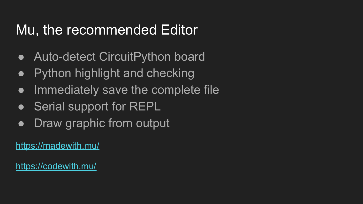#### Mu, the recommended Editor

- Auto-detect CircuitPython board
- Python highlight and checking
- Immediately save the complete file
- Serial support for REPL
- Draw graphic from output

<https://madewith.mu/>

<https://codewith.mu/>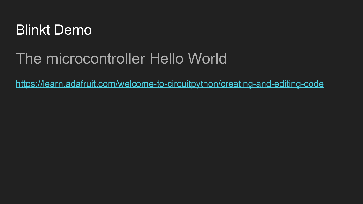

#### The microcontroller Hello World

<https://learn.adafruit.com/welcome-to-circuitpython/creating-and-editing-code>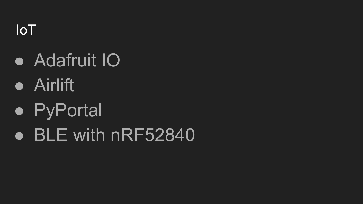IoT

- Adafruit IO
- Airlift
- PyPortal
- BLE with nRF52840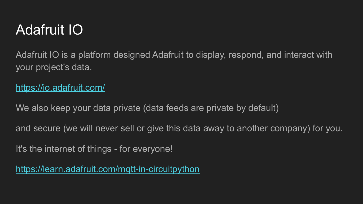#### Adafruit IO

Adafruit IO is a platform designed Adafruit to display, respond, and interact with your project's data.

#### <https://io.adafruit.com/>

We also keep your data private (data feeds are private by default)

and secure (we will never sell or give this data away to another company) for you.

It's the internet of things - for everyone!

<https://learn.adafruit.com/mqtt-in-circuitpython>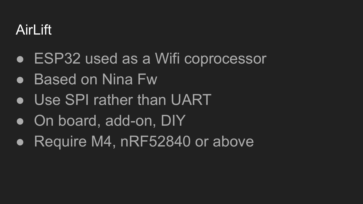#### AirLift

- ESP32 used as a Wifi coprocessor
- Based on Nina Fw
- Use SPI rather than UART
- On board, add-on, DIY
- Require M4, nRF52840 or above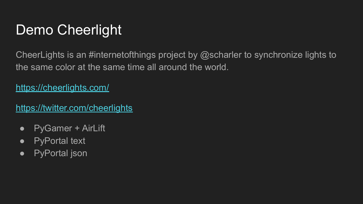#### Demo Cheerlight

CheerLights is an #internetofthings project by @scharler to synchronize lights to the same color at the same time all around the world.

<https://cheerlights.com/>

<https://twitter.com/cheerlights>

- PyGamer + AirLift
- PyPortal text
- PyPortal json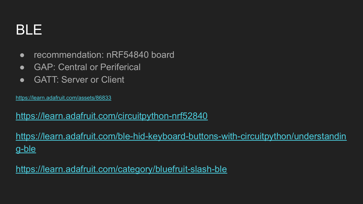#### BLE

- recommendation: nRF54840 board
- GAP: Central or Periferical
- GATT: Server or Client

<https://learn.adafruit.com/assets/86833>

#### <https://learn.adafruit.com/circuitpython-nrf52840>

[https://learn.adafruit.com/ble-hid-keyboard-buttons-with-circuitpython/understandin](https://learn.adafruit.com/ble-hid-keyboard-buttons-with-circuitpython/understanding-ble) [g-ble](https://learn.adafruit.com/ble-hid-keyboard-buttons-with-circuitpython/understanding-ble)

<https://learn.adafruit.com/category/bluefruit-slash-ble>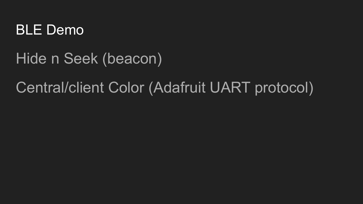

Hide n Seek (beacon)

#### Central/client Color (Adafruit UART protocol)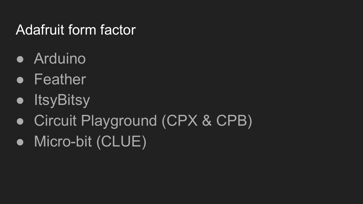#### Adafruit form factor

- Arduino
- Feather
- ItsyBitsy
- Circuit Playground (CPX & CPB)
- Micro-bit (CLUE)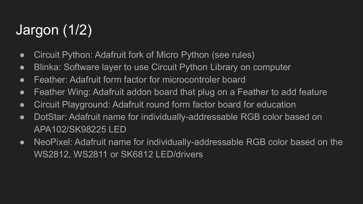### Jargon (1/2)

- Circuit Python: Adafruit fork of Micro Python (see rules)
- Blinka: Software layer to use Circuit Python Library on computer
- Feather: Adafruit form factor for microcontroler board
- Feather Wing: Adafruit addon board that plug on a Feather to add feature
- Circuit Playground: Adafruit round form factor board for education
- DotStar: Adafruit name for individually-addressable RGB color based on APA102/SK98225 LED
- NeoPixel: Adafruit name for individually-addressable RGB color based on the WS2812, WS2811 or SK6812 LED/drivers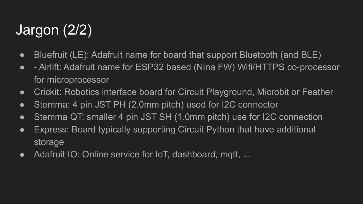### Jargon (2/2)

- Bluefruit (LE): Adafruit name for board that support Bluetooth (and BLE)
- - Airlift: Adafruit name for ESP32 based (Nina FW) Wifi/HTTPS co-processor for microprocessor
- Crickit: Robotics interface board for Circuit Playground, Microbit or Feather
- Stemma: 4 pin JST PH (2.0mm pitch) used for I2C connector
- Stemma QT: smaller 4 pin JST SH (1.0mm pitch) use for I2C connection
- Express: Board typically supporting Circuit Python that have additional storage
- Adafruit IO: Online service for IoT, dashboard, mgtt, ...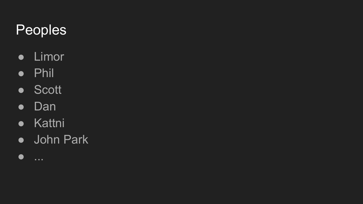#### Peoples

- Limor
- Phil
- Scott
- Dan
- Kattni
- John Park
- ...